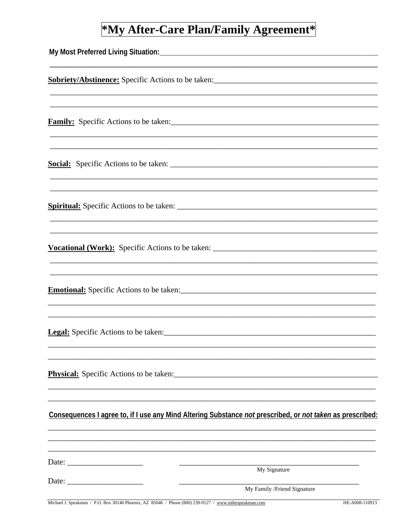## \*My After-Care Plan/Family Agreement\*

| Consequences I agree to, if I use any Mind Altering Substance not prescribed, or not taken as prescribed: |
|-----------------------------------------------------------------------------------------------------------|
| My Signature                                                                                              |
| My Family /Friend Signature                                                                               |